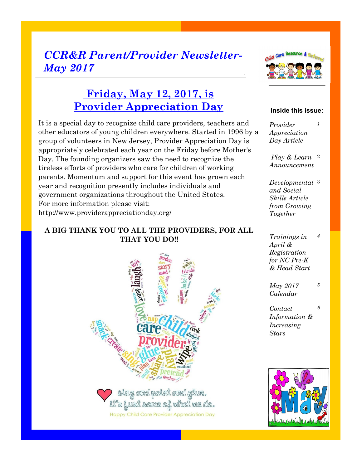## *CCR&R Parent/Provider Newsletter-May 2017*



## **Friday, May 12, 2017, is Provider Appreciation Day**

It is a special day to recognize child care providers, teachers and other educators of young children everywhere. Started in 1996 by a group of volunteers in New Jersey, Provider Appreciation Day is appropriately celebrated each year on the Friday before Mother's Day. The founding organizers saw the need to recognize the tireless efforts of providers who care for children of working parents. Momentum and support for this event has grown each year and recognition presently includes individuals and government organizations throughout the United States. For more information please visit: http://www.providerappreciationday.org/

#### **A BIG THANK YOU TO ALL THE PROVIDERS, FOR ALL THAT YOU DO!!**



**Happy Child Care Provider Appreciation Day** 

#### **Inside this issue:**

*1*

*Provider Appreciation Day Article*

*Play & Learn*  2 *Announcement*

*Developmental*  3 *and Social Skills Article from Growing Together*

*Trainings in April & Registration for NC Pre-K & Head Start 4*

*May 2017 Calendar 5*

*Contact Information & Increasing Stars 6*

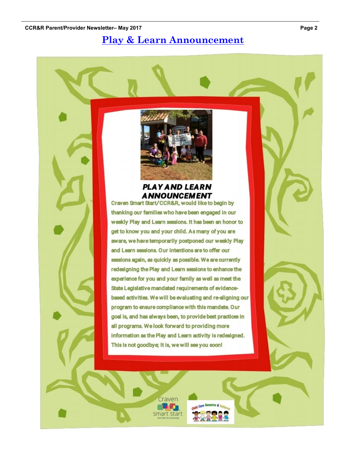### **Play & Learn Announcement**



#### **PLAY AND LEARN ANNOUNCEMENT**

Craven Smart Start/CCR&R, would like to begin by thanking our families who have been engaged in our weekly Play and Learn sessions. It has been an honor to get to know you and your child. As many of you are aware, we have temporarily postponed our weekly Play and Learn sessions. Our intentions are to offer our sessions again, as quickly as possible. We are currently redesigning the Play and Learn sessions to enhance the experience for you and your family as well as meet the State Legislative mandated requirements of evidencebased activities. We will be evaluating and re-aligning our program to ensure compliance with this mandate. Our goal is, and has always been, to provide best practices in all programs. We look forward to providing more information as the Play and Learn activity is redesigned. This is not goodbye; It is, we will see you soon!

Craven **THE RO** Smart Start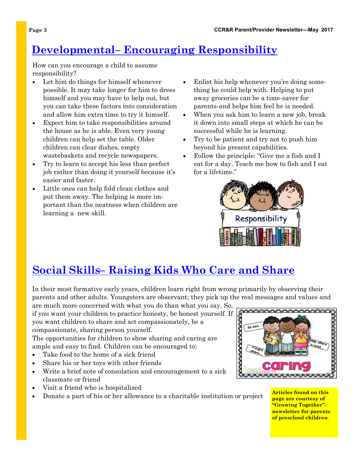## **Developmental– Encouraging Responsibility**

How can you encourage a child to assume responsibility?

- Let him do things for himself whenever possible. It may take longer for him to dress himself and you may have to help out, but you can take these factors into consideration and allow him extra time to try it himself.
- Expect him to take responsibilities around the house as he is able. Even very young children can help set the table. Older children can clear dishes, empty wastebaskets and recycle newspapers.
- Try to learn to accept his less than perfect job rather than doing it yourself because it's easier and faster.
- Little ones can help fold clean clothes and put them away. The helping is more important than the neatness when children are learning a new skill.
- Enlist his help whenever you're doing something he could help with. Helping to put away groceries can be a time-saver for parents-and helps him feel he is needed.
- When you ask him to learn a new job, break it down into small steps at which he can be successful while he is learning.
- Try to be patient and try not to push him beyond his present capabilities.
- Follow the principle: "Give me a fish and I eat for a day. Teach me how to fish and I eat for a lifetime."



## **Social Skills– Raising Kids Who Care and Share**

In their most formative early years, children learn right from wrong primarily by observing their parents and other adults. Youngsters are observant; they pick up the real messages and values and

are much more concerned with what you do than what you say. So, if you want your children to practice honesty, be honest yourself. If you want children to share and act compassionately, be a compassionate, sharing person yourself.

The opportunities for children to show sharing and caring are ample and easy to find. Children can be encouraged to:

- Take food to the home of a sick friend
- Share his or her toys with other friends
- Write a brief note of consolation and encouragement to a sick classmate or friend
- Visit a friend who is hospitalized
- Donate a part of his or her allowance to a charitable institution or project



**Articles found on this page are courtesy of "Growing Together" newsletter for parents of preschool children**.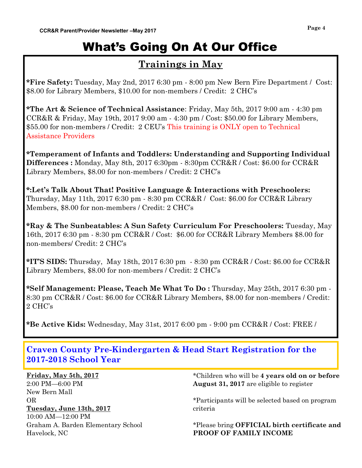# What's Going On At Our Office

### **Trainings in May**

**\*Fire Safety:** Tuesday, May 2nd, 2017 6:30 pm - 8:00 pm New Bern Fire Department / Cost: \$8.00 for Library Members, \$10.00 for non-members / Credit: 2 CHC's

**\*The Art & Science of Technical Assistance**: Friday, May 5th, 2017 9:00 am - 4:30 pm CCR&R & Friday, May 19th,  $20179:00 \text{ am } -4:30 \text{ pm}$  / Cost: \$50.00 for Library Members, \$55.00 for non-members / Credit: 2 CEU's This training is ONLY open to Technical Assistance Providers

**\*Temperament of Infants and Toddlers: Understanding and Supporting Individual Differences :** Monday, May 8th, 2017 6:30pm - 8:30pm CCR&R / Cost: \$6.00 for CCR&R Library Members, \$8.00 for non-members / Credit: 2 CHC's

**\*:Let's Talk About That! Positive Language & Interactions with Preschoolers:**  Thursday, May 11th, 2017 6:30 pm - 8:30 pm CCR&R / Cost: \$6.00 for CCR&R Library Members, \$8.00 for non-members / Credit: 2 CHC's

**\*Ray & The Sunbeatables: A Sun Safety Curriculum For Preschoolers:** Tuesday, May 16th, 2017 6:30 pm - 8:30 pm CCR&R / Cost: \$6.00 for CCR&R Library Members \$8.00 for non-members/ Credit: 2 CHC's

**\*IT'S SIDS:** Thursday, May 18th, 2017 6:30 pm - 8:30 pm CCR&R / Cost: \$6.00 for CCR&R Library Members, \$8.00 for non-members / Credit: 2 CHC's

**\*Self Management: Please, Teach Me What To Do :** Thursday, May 25th, 2017 6:30 pm - 8:30 pm CCR&R / Cost: \$6.00 for CCR&R Library Members, \$8.00 for non-members / Credit: 2 CHC's

**\*Be Active Kids:** Wednesday, May 31st, 2017 6:00 pm - 9:00 pm CCR&R / Cost: FREE /

**Craven County Pre-Kindergarten & Head Start Registration for the 2017-2018 School Year** 

**Friday, May 5th, 2017** 2:00 PM—6:00 PM New Bern Mall OR **Tuesday, June 13th, 2017** 10:00 AM—12:00 PM Graham A. Barden Elementary School Havelock, NC

\*Children who will be **4 years old on or before August 31, 2017** are eligible to register

\*Participants will be selected based on program criteria

\*Please bring **OFFICIAL birth certificate and PROOF OF FAMILY INCOME**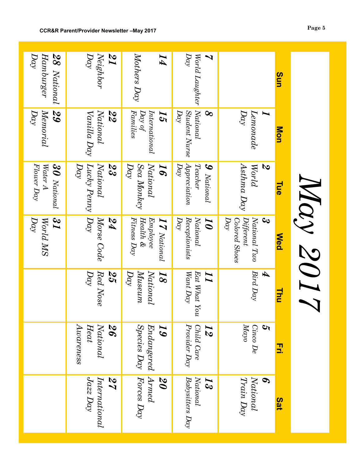|                         |                                             |                                                          |                                                                                            | Navy 2017                                                                                       |                                                             |                                         | Sat                                     |
|-------------------------|---------------------------------------------|----------------------------------------------------------|--------------------------------------------------------------------------------------------|-------------------------------------------------------------------------------------------------|-------------------------------------------------------------|-----------------------------------------|-----------------------------------------|
|                         | Sun                                         | Mon                                                      | <b>Tue</b>                                                                                 | <b>Med</b>                                                                                      | Thu                                                         | 3.                                      |                                         |
|                         |                                             | Day<br>Z<br>$\it Lenonade$                               | Asthma Day<br>$\boldsymbol{\mathcal{S}}$<br>World                                          | $\mathbf{c}_\mathbf{0}$<br>National Two<br>$D\alpha\gamma$<br><b>Colored Shoes</b><br>Different | $Bird$ $Day$<br>Ð                                           | Mayo<br><b>S</b><br>Cinco De            | Train Day<br>S<br>National              |
| $\overline{\mathbf{v}}$ | $D\alpha$<br>World Laughter                 | National<br>$D\alpha\gamma$<br>Student Nurse<br>$\infty$ | $\label{eq:approximation} Appreciation$<br>Teacher<br>$D\alpha\gamma$<br>$\bm{9}$ National | Receptionists<br>$\overline{Day}$<br>National<br>$\overline{\bm{Q}}$                            | $\it{Ext}$ What You<br>Want Day<br>II                       | Provider Day<br>Child Care<br><b>N</b>  | Babysitters Day<br>National<br>53       |
|                         | $Motters$ $Day$<br>$\overline{I}4$          | Families<br>$D\alpha y$ of<br>International<br>15        | National<br>Sea Monkey<br>$\bm g$<br>Day                                                   | Fitness Day<br>$Hedth\ \&$<br><b>IT National</b><br>Embedose                                    | Day<br>National<br>$M$ use $um$<br>$\overline{\mathcal{S}}$ | $Species$ Day<br>Endangered<br>$\bm{5}$ | Armed<br>Forces Day<br>20               |
| 7T                      | Neighbor<br>Day                             | National<br>22<br>Vanilla Day                            | National<br>$D\alpha\gamma$<br>Lucky Penny $ D\alpha\rangle$<br>23                         | Morse Code<br>PZ                                                                                | Day<br>$Red\;Nose$<br>25                                    | Awareness<br>National<br>26<br>Heat     | $\sqrt{azz}$ Day<br>International<br>27 |
|                         | $D\alpha\gamma$<br>Hamburger<br>28 National | $D\alpha\gamma$<br>$M$ emorial<br>29                     | Flower Day<br>Water A<br>$30$ National                                                     | $\overline{\mathcal{U}}$<br>Day<br>World MS                                                     |                                                             |                                         |                                         |